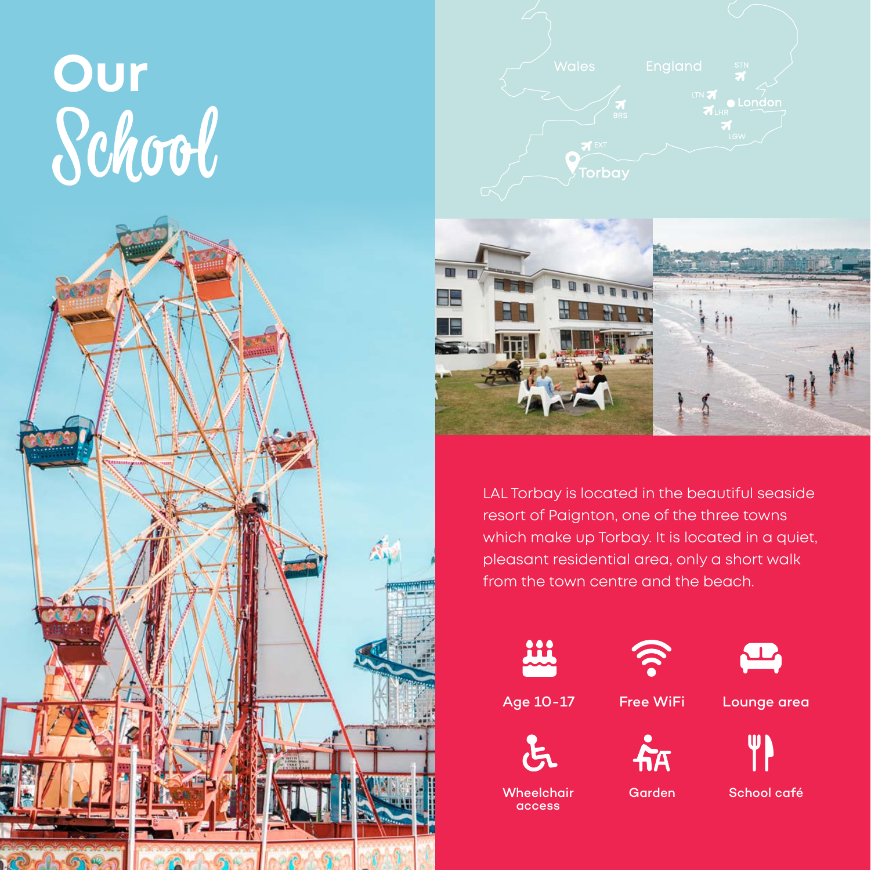# **Our** School





LAL Torbay is located in the beautiful seaside resort of Paignton, one of the three towns which make up Torbay. It is located in a quiet, pleasant residential area, only a short walk from the town centre and the beach.













**Wheelchair** access

Garden School café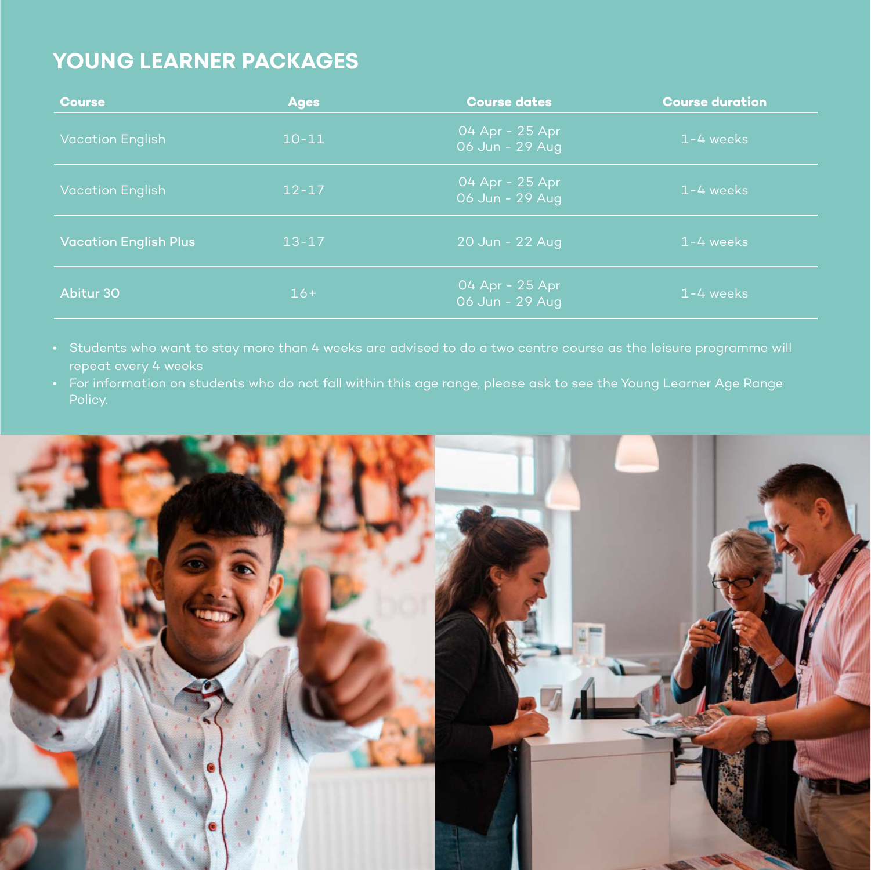## **YOUNG LEARNER PACKAGES**

| <b>Course</b>                | <b>Ages</b> | <b>Course dates</b>                | <b>Course duration</b> |
|------------------------------|-------------|------------------------------------|------------------------|
| <b>Vacation English</b>      | $10 - 11$   | 04 Apr - 25 Apr<br>06 Jun - 29 Aug | $1 - 4$ weeks          |
| <b>Vacation English</b>      | $12 - 17$   | 04 Apr - 25 Apr<br>06 Jun - 29 Aug | $1 - 4$ weeks          |
| <b>Vacation English Plus</b> | $13 - 17$   | 20 Jun - 22 Aug                    | $1 - 4$ weeks          |
| Abitur 30                    | $16+$       | 04 Apr - 25 Apr<br>06 Jun - 29 Aug | $1 - 4$ weeks          |

- 
- For information on students who do not fall within this age range, please ask to see the Young Learner Age Range